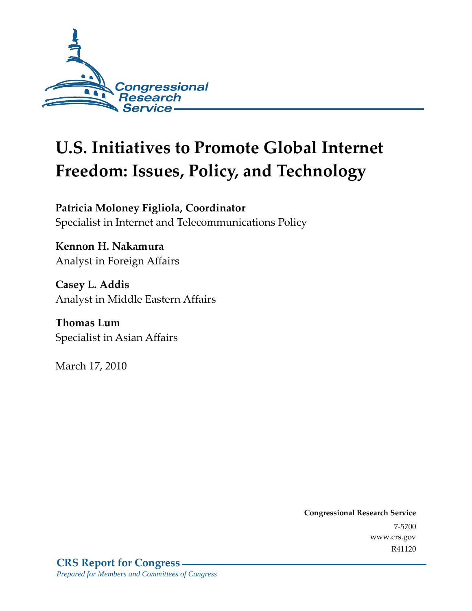

# **U.S. Initiatives to Promote Global Internet Freedom: Issues, Policy, and Technology**

**Patricia Moloney Figliola, Coordinator**  Specialist in Internet and Telecommunications Policy

**Kennon H. Nakamura**  Analyst in Foreign Affairs

**Casey L. Addis**  Analyst in Middle Eastern Affairs

**Thomas Lum**  Specialist in Asian Affairs

March 17, 2010

**Congressional Research Service** 7-5700 www.crs.gov R41120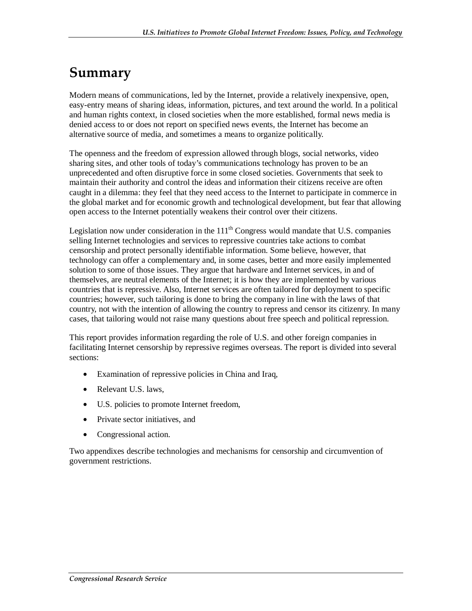## **Summary**

Modern means of communications, led by the Internet, provide a relatively inexpensive, open, easy-entry means of sharing ideas, information, pictures, and text around the world. In a political and human rights context, in closed societies when the more established, formal news media is denied access to or does not report on specified news events, the Internet has become an alternative source of media, and sometimes a means to organize politically.

The openness and the freedom of expression allowed through blogs, social networks, video sharing sites, and other tools of today's communications technology has proven to be an unprecedented and often disruptive force in some closed societies. Governments that seek to maintain their authority and control the ideas and information their citizens receive are often caught in a dilemma: they feel that they need access to the Internet to participate in commerce in the global market and for economic growth and technological development, but fear that allowing open access to the Internet potentially weakens their control over their citizens.

Legislation now under consideration in the  $111<sup>th</sup>$  Congress would mandate that U.S. companies selling Internet technologies and services to repressive countries take actions to combat censorship and protect personally identifiable information. Some believe, however, that technology can offer a complementary and, in some cases, better and more easily implemented solution to some of those issues. They argue that hardware and Internet services, in and of themselves, are neutral elements of the Internet; it is how they are implemented by various countries that is repressive. Also, Internet services are often tailored for deployment to specific countries; however, such tailoring is done to bring the company in line with the laws of that country, not with the intention of allowing the country to repress and censor its citizenry. In many cases, that tailoring would not raise many questions about free speech and political repression.

This report provides information regarding the role of U.S. and other foreign companies in facilitating Internet censorship by repressive regimes overseas. The report is divided into several sections:

- Examination of repressive policies in China and Iraq,
- Relevant U.S. laws.
- U.S. policies to promote Internet freedom,
- Private sector initiatives, and
- Congressional action.

Two appendixes describe technologies and mechanisms for censorship and circumvention of government restrictions.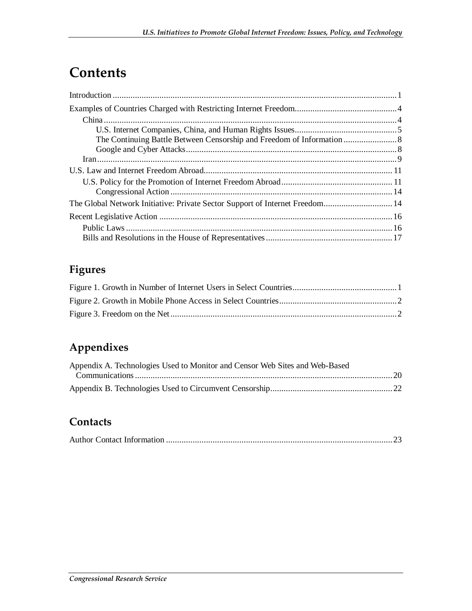## **Contents**

| The Global Network Initiative: Private Sector Support of Internet Freedom 14 |  |
|------------------------------------------------------------------------------|--|
|                                                                              |  |
|                                                                              |  |
|                                                                              |  |

## **Figures**

## **Appendixes**

| Appendix A. Technologies Used to Monitor and Censor Web Sites and Web-Based |  |
|-----------------------------------------------------------------------------|--|
|                                                                             |  |
|                                                                             |  |

### **Contacts**

|--|--|--|--|--|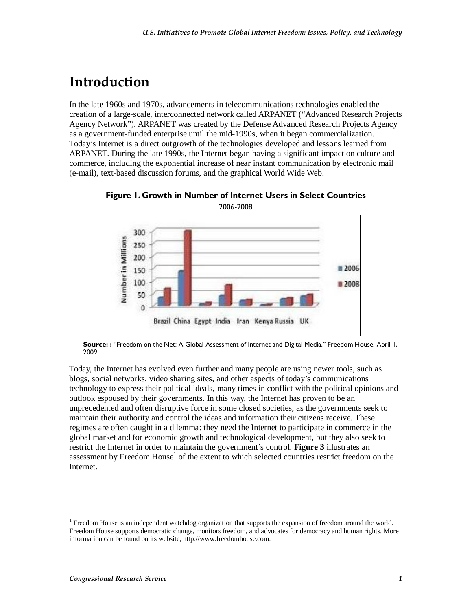## **Introduction**

In the late 1960s and 1970s, advancements in telecommunications technologies enabled the creation of a large-scale, interconnected network called ARPANET ("Advanced Research Projects Agency Network"). ARPANET was created by the Defense Advanced Research Projects Agency as a government-funded enterprise until the mid-1990s, when it began commercialization. Today's Internet is a direct outgrowth of the technologies developed and lessons learned from ARPANET. During the late 1990s, the Internet began having a significant impact on culture and commerce, including the exponential increase of near instant communication by electronic mail (e-mail), text-based discussion forums, and the graphical World Wide Web.



**Figure 1. Growth in Number of Internet Users in Select Countries**  2006-2008

**Source: :** "Freedom on the Net: A Global Assessment of Internet and Digital Media," Freedom House, April 1, 2009.

Today, the Internet has evolved even further and many people are using newer tools, such as blogs, social networks, video sharing sites, and other aspects of today's communications technology to express their political ideals, many times in conflict with the political opinions and outlook espoused by their governments. In this way, the Internet has proven to be an unprecedented and often disruptive force in some closed societies, as the governments seek to maintain their authority and control the ideas and information their citizens receive. These regimes are often caught in a dilemma: they need the Internet to participate in commerce in the global market and for economic growth and technological development, but they also seek to restrict the Internet in order to maintain the government's control. **Figure 3** illustrates an assessment by Freedom House<sup>1</sup> of the extent to which selected countries restrict freedom on the Internet.

-

 $1$  Freedom House is an independent watchdog organization that supports the expansion of freedom around the world. Freedom House supports democratic change, monitors freedom, and advocates for democracy and human rights. More information can be found on its website, http://www.freedomhouse.com.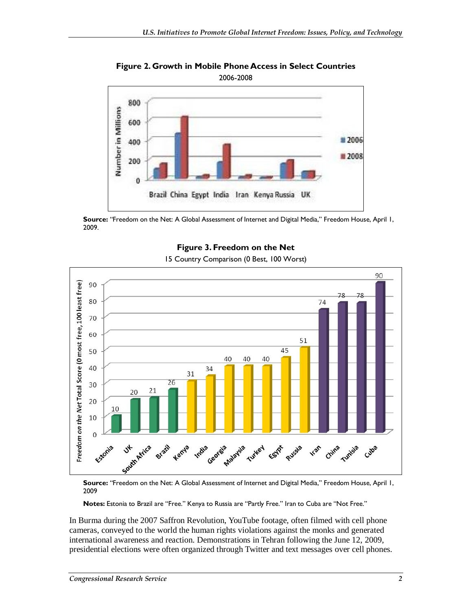

**Figure 2. Growth in Mobile Phone Access in Select Countries**  2006-2008

**Source:** "Freedom on the Net: A Global Assessment of Internet and Digital Media," Freedom House, April 1, 2009.



**Figure 3. Freedom on the Net**  15 Country Comparison (0 Best, 100 Worst)

**Source:** "Freedom on the Net: A Global Assessment of Internet and Digital Media," Freedom House, April 1, 2009

**Notes:** Estonia to Brazil are "Free." Kenya to Russia are "Partly Free." Iran to Cuba are "Not Free."

In Burma during the 2007 Saffron Revolution, YouTube footage, often filmed with cell phone cameras, conveyed to the world the human rights violations against the monks and generated international awareness and reaction. Demonstrations in Tehran following the June 12, 2009, presidential elections were often organized through Twitter and text messages over cell phones.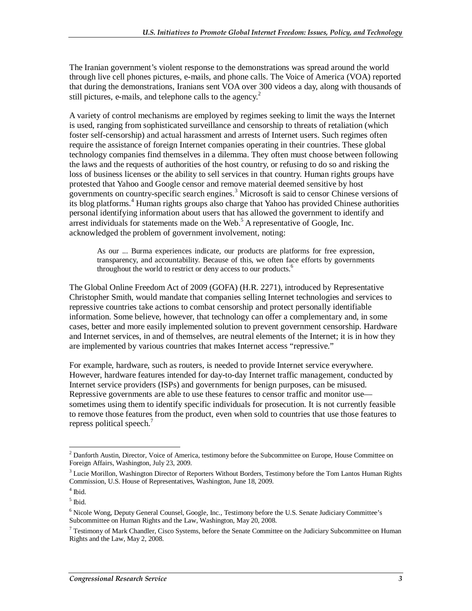The Iranian government's violent response to the demonstrations was spread around the world through live cell phones pictures, e-mails, and phone calls. The Voice of America (VOA) reported that during the demonstrations, Iranians sent VOA over 300 videos a day, along with thousands of still pictures, e-mails, and telephone calls to the agency.<sup>2</sup>

A variety of control mechanisms are employed by regimes seeking to limit the ways the Internet is used, ranging from sophisticated surveillance and censorship to threats of retaliation (which foster self-censorship) and actual harassment and arrests of Internet users. Such regimes often require the assistance of foreign Internet companies operating in their countries. These global technology companies find themselves in a dilemma. They often must choose between following the laws and the requests of authorities of the host country, or refusing to do so and risking the loss of business licenses or the ability to sell services in that country. Human rights groups have protested that Yahoo and Google censor and remove material deemed sensitive by host governments on country-specific search engines.<sup>3</sup> Microsoft is said to censor Chinese versions of its blog platforms.<sup>4</sup> Human rights groups also charge that Yahoo has provided Chinese authorities personal identifying information about users that has allowed the government to identify and arrest individuals for statements made on the Web. $5$  A representative of Google, Inc. acknowledged the problem of government involvement, noting:

As our ... Burma experiences indicate, our products are platforms for free expression, transparency, and accountability. Because of this, we often face efforts by governments throughout the world to restrict or deny access to our products.<sup>6</sup>

The Global Online Freedom Act of 2009 (GOFA) (H.R. 2271), introduced by Representative Christopher Smith, would mandate that companies selling Internet technologies and services to repressive countries take actions to combat censorship and protect personally identifiable information. Some believe, however, that technology can offer a complementary and, in some cases, better and more easily implemented solution to prevent government censorship. Hardware and Internet services, in and of themselves, are neutral elements of the Internet; it is in how they are implemented by various countries that makes Internet access "repressive."

For example, hardware, such as routers, is needed to provide Internet service everywhere. However, hardware features intended for day-to-day Internet traffic management, conducted by Internet service providers (ISPs) and governments for benign purposes, can be misused. Repressive governments are able to use these features to censor traffic and monitor use sometimes using them to identify specific individuals for prosecution. It is not currently feasible to remove those features from the product, even when sold to countries that use those features to repress political speech.<sup>7</sup>

<sup>-</sup> $2$  Danforth Austin, Director, Voice of America, testimony before the Subcommittee on Europe, House Committee on Foreign Affairs, Washington, July 23, 2009.

<sup>&</sup>lt;sup>3</sup> Lucie Morillon, Washington Director of Reporters Without Borders, Testimony before the Tom Lantos Human Rights Commission, U.S. House of Representatives, Washington, June 18, 2009.

<sup>4</sup> Ibid.

 $<sup>5</sup>$  Ibid.</sup>

<sup>&</sup>lt;sup>6</sup> Nicole Wong, Deputy General Counsel, Google, Inc., Testimony before the U.S. Senate Judiciary Committee's Subcommittee on Human Rights and the Law, Washington, May 20, 2008.

<sup>&</sup>lt;sup>7</sup> Testimony of Mark Chandler, Cisco Systems, before the Senate Committee on the Judiciary Subcommittee on Human Rights and the Law, May 2, 2008.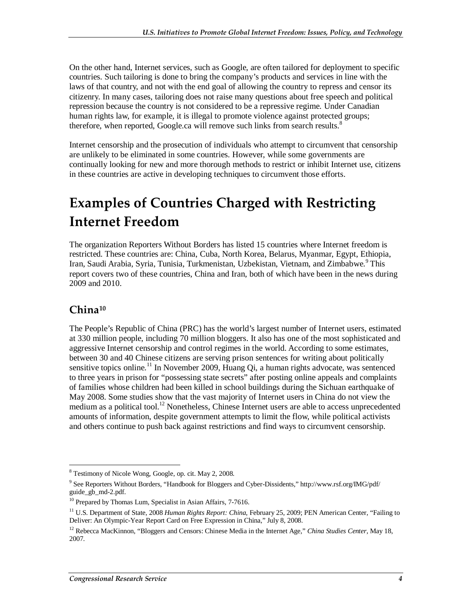On the other hand, Internet services, such as Google, are often tailored for deployment to specific countries. Such tailoring is done to bring the company's products and services in line with the laws of that country, and not with the end goal of allowing the country to repress and censor its citizenry. In many cases, tailoring does not raise many questions about free speech and political repression because the country is not considered to be a repressive regime. Under Canadian human rights law, for example, it is illegal to promote violence against protected groups; therefore, when reported, Google.ca will remove such links from search results.<sup>8</sup>

Internet censorship and the prosecution of individuals who attempt to circumvent that censorship are unlikely to be eliminated in some countries. However, while some governments are continually looking for new and more thorough methods to restrict or inhibit Internet use, citizens in these countries are active in developing techniques to circumvent those efforts.

## **Examples of Countries Charged with Restricting Internet Freedom**

The organization Reporters Without Borders has listed 15 countries where Internet freedom is restricted. These countries are: China, Cuba, North Korea, Belarus, Myanmar, Egypt, Ethiopia, Iran, Saudi Arabia, Syria, Tunisia, Turkmenistan, Uzbekistan, Vietnam, and Zimbabwe.<sup>9</sup> This report covers two of these countries, China and Iran, both of which have been in the news during 2009 and 2010.

### **China10**

The People's Republic of China (PRC) has the world's largest number of Internet users, estimated at 330 million people, including 70 million bloggers. It also has one of the most sophisticated and aggressive Internet censorship and control regimes in the world. According to some estimates, between 30 and 40 Chinese citizens are serving prison sentences for writing about politically sensitive topics online.<sup>11</sup> In November 2009, Huang Qi, a human rights advocate, was sentenced to three years in prison for "possessing state secrets" after posting online appeals and complaints of families whose children had been killed in school buildings during the Sichuan earthquake of May 2008. Some studies show that the vast majority of Internet users in China do not view the medium as a political tool.<sup>12</sup> Nonetheless, Chinese Internet users are able to access unprecedented amounts of information, despite government attempts to limit the flow, while political activists and others continue to push back against restrictions and find ways to circumvent censorship.

<sup>&</sup>lt;sup>8</sup> Testimony of Nicole Wong, Google, op. cit. May 2, 2008.

<sup>&</sup>lt;sup>9</sup> See Reporters Without Borders, "Handbook for Bloggers and Cyber-Dissidents," http://www.rsf.org/IMG/pdf/ guide\_gb\_md-2.pdf.

<sup>&</sup>lt;sup>10</sup> Prepared by Thomas Lum, Specialist in Asian Affairs, 7-7616.

<sup>&</sup>lt;sup>11</sup> U.S. Department of State, 2008 *Human Rights Report: China*, February 25, 2009; PEN American Center, "Failing to Deliver: An Olympic-Year Report Card on Free Expression in China," July 8, 2008.

<sup>12</sup> Rebecca MacKinnon, "Bloggers and Censors: Chinese Media in the Internet Age," *China Studies Center*, May 18, 2007.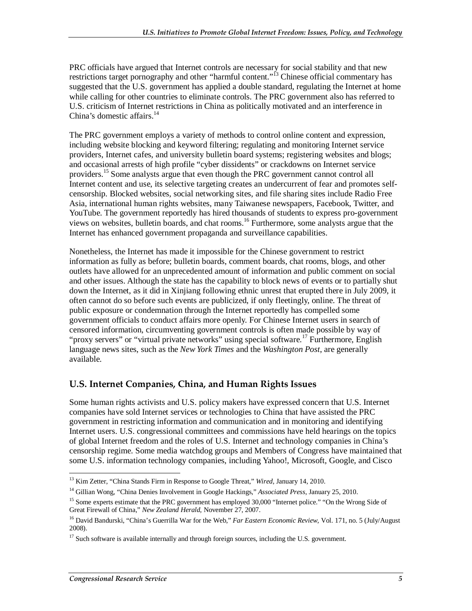PRC officials have argued that Internet controls are necessary for social stability and that new restrictions target pornography and other "harmful content."<sup>13</sup> Chinese official commentary has suggested that the U.S. government has applied a double standard, regulating the Internet at home while calling for other countries to eliminate controls. The PRC government also has referred to U.S. criticism of Internet restrictions in China as politically motivated and an interference in China's domestic affairs.<sup>14</sup>

The PRC government employs a variety of methods to control online content and expression, including website blocking and keyword filtering; regulating and monitoring Internet service providers, Internet cafes, and university bulletin board systems; registering websites and blogs; and occasional arrests of high profile "cyber dissidents" or crackdowns on Internet service providers.<sup>15</sup> Some analysts argue that even though the PRC government cannot control all Internet content and use, its selective targeting creates an undercurrent of fear and promotes selfcensorship. Blocked websites, social networking sites, and file sharing sites include Radio Free Asia, international human rights websites, many Taiwanese newspapers, Facebook, Twitter, and YouTube. The government reportedly has hired thousands of students to express pro-government views on websites, bulletin boards, and chat rooms.16 Furthermore, some analysts argue that the Internet has enhanced government propaganda and surveillance capabilities.

Nonetheless, the Internet has made it impossible for the Chinese government to restrict information as fully as before; bulletin boards, comment boards, chat rooms, blogs, and other outlets have allowed for an unprecedented amount of information and public comment on social and other issues. Although the state has the capability to block news of events or to partially shut down the Internet, as it did in Xinjiang following ethnic unrest that erupted there in July 2009, it often cannot do so before such events are publicized, if only fleetingly, online. The threat of public exposure or condemnation through the Internet reportedly has compelled some government officials to conduct affairs more openly. For Chinese Internet users in search of censored information, circumventing government controls is often made possible by way of "proxy servers" or "virtual private networks" using special software.<sup>17</sup> Furthermore, English language news sites, such as the *New York Times* and the *Washington Post*, are generally available.

### **U.S. Internet Companies, China, and Human Rights Issues**

Some human rights activists and U.S. policy makers have expressed concern that U.S. Internet companies have sold Internet services or technologies to China that have assisted the PRC government in restricting information and communication and in monitoring and identifying Internet users. U.S. congressional committees and commissions have held hearings on the topics of global Internet freedom and the roles of U.S. Internet and technology companies in China's censorship regime. Some media watchdog groups and Members of Congress have maintained that some U.S. information technology companies, including Yahoo!, Microsoft, Google, and Cisco

 $\frac{1}{1}$ 13 Kim Zetter, "China Stands Firm in Response to Google Threat," *Wired*, January 14, 2010.

<sup>14</sup> Gillian Wong, "China Denies Involvement in Google Hackings," *Associated Press*, January 25, 2010.

<sup>&</sup>lt;sup>15</sup> Some experts estimate that the PRC government has employed 30,000 "Internet police." "On the Wrong Side of Great Firewall of China," *New Zealand Herald*, November 27, 2007.

<sup>&</sup>lt;sup>16</sup> David Bandurski, "China's Guerrilla War for the Web," *Far Eastern Economic Review*, Vol. 171, no. 5 (July/August 2008).

 $17$  Such software is available internally and through foreign sources, including the U.S. government.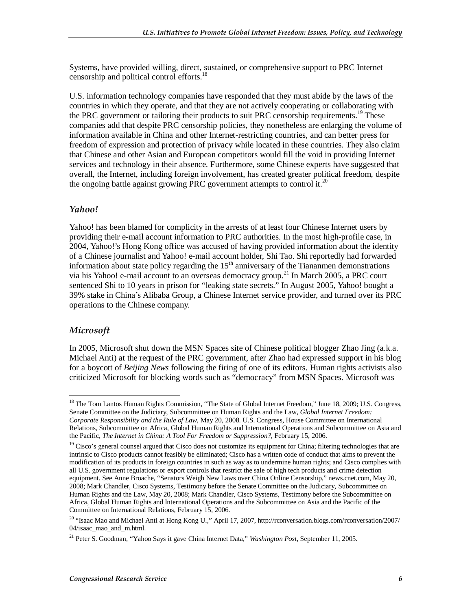Systems, have provided willing, direct, sustained, or comprehensive support to PRC Internet censorship and political control efforts.18

U.S. information technology companies have responded that they must abide by the laws of the countries in which they operate, and that they are not actively cooperating or collaborating with the PRC government or tailoring their products to suit PRC censorship requirements.<sup>19</sup> These companies add that despite PRC censorship policies, they nonetheless are enlarging the volume of information available in China and other Internet-restricting countries, and can better press for freedom of expression and protection of privacy while located in these countries. They also claim that Chinese and other Asian and European competitors would fill the void in providing Internet services and technology in their absence. Furthermore, some Chinese experts have suggested that overall, the Internet, including foreign involvement, has created greater political freedom, despite the ongoing battle against growing PRC government attempts to control it.<sup>20</sup>

#### *Yahoo!*

Yahoo! has been blamed for complicity in the arrests of at least four Chinese Internet users by providing their e-mail account information to PRC authorities. In the most high-profile case, in 2004, Yahoo!'s Hong Kong office was accused of having provided information about the identity of a Chinese journalist and Yahoo! e-mail account holder, Shi Tao. Shi reportedly had forwarded information about state policy regarding the  $15<sup>th</sup>$  anniversary of the Tiananmen demonstrations via his Yahoo! e-mail account to an overseas democracy group.<sup>21</sup> In March 2005, a PRC court sentenced Shi to 10 years in prison for "leaking state secrets." In August 2005, Yahoo! bought a 39% stake in China's Alibaba Group, a Chinese Internet service provider, and turned over its PRC operations to the Chinese company.

### *Microsoft*

<u>.</u>

In 2005, Microsoft shut down the MSN Spaces site of Chinese political blogger Zhao Jing (a.k.a. Michael Anti) at the request of the PRC government, after Zhao had expressed support in his blog for a boycott of *Beijing News* following the firing of one of its editors. Human rights activists also criticized Microsoft for blocking words such as "democracy" from MSN Spaces. Microsoft was

<sup>&</sup>lt;sup>18</sup> The Tom Lantos Human Rights Commission, "The State of Global Internet Freedom," June 18, 2009; U.S. Congress, Senate Committee on the Judiciary, Subcommittee on Human Rights and the Law, *Global Internet Freedom: Corporate Responsibility and the Rule of Law*, May 20, 2008. U.S. Congress, House Committee on International Relations, Subcommittee on Africa, Global Human Rights and International Operations and Subcommittee on Asia and the Pacific, *The Internet in China: A Tool For Freedom or Suppression?*, February 15, 2006.

 $19$  Cisco's general counsel argued that Cisco does not customize its equipment for China; filtering technologies that are intrinsic to Cisco products cannot feasibly be eliminated; Cisco has a written code of conduct that aims to prevent the modification of its products in foreign countries in such as way as to undermine human rights; and Cisco complies with all U.S. government regulations or export controls that restrict the sale of high tech products and crime detection equipment. See Anne Broache, "Senators Weigh New Laws over China Online Censorship," news.cnet.com, May 20, 2008; Mark Chandler, Cisco Systems, Testimony before the Senate Committee on the Judiciary, Subcommittee on Human Rights and the Law, May 20, 2008; Mark Chandler, Cisco Systems, Testimony before the Subcommittee on Africa, Global Human Rights and International Operations and the Subcommittee on Asia and the Pacific of the Committee on International Relations, February 15, 2006.

<sup>&</sup>lt;sup>20</sup> "Isaac Mao and Michael Anti at Hong Kong U.," April 17, 2007, http://rconversation.blogs.com/rconversation/2007/ 04/isaac\_mao\_and\_m.html.

<sup>21</sup> Peter S. Goodman, "Yahoo Says it gave China Internet Data," *Washington Post*, September 11, 2005.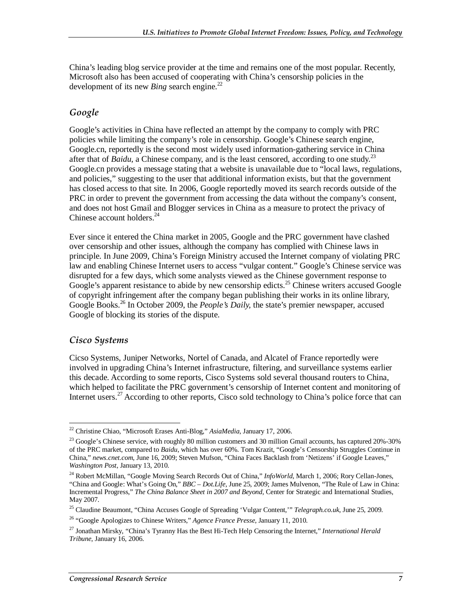China's leading blog service provider at the time and remains one of the most popular. Recently, Microsoft also has been accused of cooperating with China's censorship policies in the development of its new *Bing* search engine.<sup>22</sup>

### *Google*

Google's activities in China have reflected an attempt by the company to comply with PRC policies while limiting the company's role in censorship. Google's Chinese search engine, Google.cn, reportedly is the second most widely used information-gathering service in China after that of *Baidu*, a Chinese company, and is the least censored, according to one study.<sup>23</sup> Google.cn provides a message stating that a website is unavailable due to "local laws, regulations, and policies," suggesting to the user that additional information exists, but that the government has closed access to that site. In 2006, Google reportedly moved its search records outside of the PRC in order to prevent the government from accessing the data without the company's consent, and does not host Gmail and Blogger services in China as a measure to protect the privacy of Chinese account holders. $24$ 

Ever since it entered the China market in 2005, Google and the PRC government have clashed over censorship and other issues, although the company has complied with Chinese laws in principle. In June 2009, China's Foreign Ministry accused the Internet company of violating PRC law and enabling Chinese Internet users to access "vulgar content." Google's Chinese service was disrupted for a few days, which some analysts viewed as the Chinese government response to Google's apparent resistance to abide by new censorship edicts.<sup>25</sup> Chinese writers accused Google of copyright infringement after the company began publishing their works in its online library, Google Books.26 In October 2009, the *People's Daily,* the state's premier newspaper, accused Google of blocking its stories of the dispute.

#### *Cisco Systems*

Cicso Systems, Juniper Networks, Nortel of Canada, and Alcatel of France reportedly were involved in upgrading China's Internet infrastructure, filtering, and surveillance systems earlier this decade. According to some reports, Cisco Systems sold several thousand routers to China, which helped to facilitate the PRC government's censorship of Internet content and monitoring of Internet users.<sup>27</sup> According to other reports, Cisco sold technology to China's police force that can

<sup>-</sup>22 Christine Chiao, "Microsoft Erases Anti-Blog," *AsiaMedia*, January 17, 2006.

 $^{23}$  Google's Chinese service, with roughly 80 million customers and 30 million Gmail accounts, has captured 20%-30% of the PRC market, compared to *Baidu*, which has over 60%. Tom Krazit, "Google's Censorship Struggles Continue in China," *news.cnet.com*, June 16, 2009; Steven Mufson, "China Faces Backlash from 'Netizens' if Google Leaves," *Washington Post*, January 13, 2010.

<sup>&</sup>lt;sup>24</sup> Robert McMillan, "Google Moving Search Records Out of China," InfoWorld, March 1, 2006; Rory Cellan-Jones, "China and Google: What's Going On," *BBC – Dot.Life*, June 25, 2009; James Mulvenon, "The Rule of Law in China: Incremental Progress," *The China Balance Sheet in 2007 and Beyond*, Center for Strategic and International Studies, May 2007.

<sup>25</sup> Claudine Beaumont, "China Accuses Google of Spreading 'Vulgar Content,'" *Telegraph.co.uk*, June 25, 2009.

<sup>26 &</sup>quot;Google Apologizes to Chinese Writers," *Agence France Presse*, January 11, 2010.

<sup>27</sup> Jonathan Mirsky, "China's Tyranny Has the Best Hi-Tech Help Censoring the Internet," *International Herald Tribune*, January 16, 2006.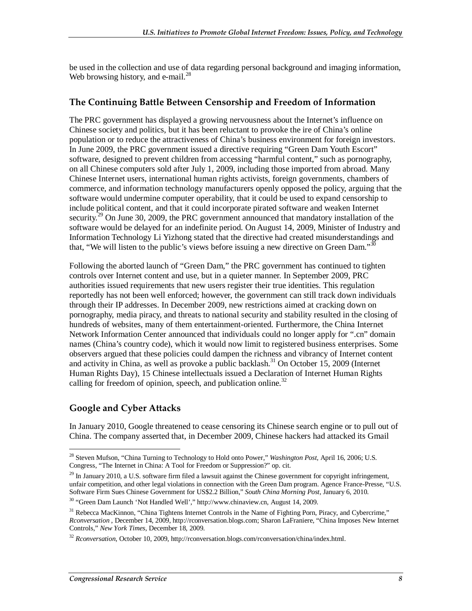be used in the collection and use of data regarding personal background and imaging information, Web browsing history, and e-mail. $^{28}$ 

#### **The Continuing Battle Between Censorship and Freedom of Information**

The PRC government has displayed a growing nervousness about the Internet's influence on Chinese society and politics, but it has been reluctant to provoke the ire of China's online population or to reduce the attractiveness of China's business environment for foreign investors. In June 2009, the PRC government issued a directive requiring "Green Dam Youth Escort" software, designed to prevent children from accessing "harmful content," such as pornography, on all Chinese computers sold after July 1, 2009, including those imported from abroad. Many Chinese Internet users, international human rights activists, foreign governments, chambers of commerce, and information technology manufacturers openly opposed the policy, arguing that the software would undermine computer operability, that it could be used to expand censorship to include political content, and that it could incorporate pirated software and weaken Internet security.<sup>29</sup> On June 30, 2009, the PRC government announced that mandatory installation of the software would be delayed for an indefinite period. On August 14, 2009, Minister of Industry and Information Technology Li Yizhong stated that the directive had created misunderstandings and that, "We will listen to the public's views before issuing a new directive on Green Dam."<sup>30</sup>

Following the aborted launch of "Green Dam," the PRC government has continued to tighten controls over Internet content and use, but in a quieter manner. In September 2009, PRC authorities issued requirements that new users register their true identities. This regulation reportedly has not been well enforced; however, the government can still track down individuals through their IP addresses. In December 2009, new restrictions aimed at cracking down on pornography, media piracy, and threats to national security and stability resulted in the closing of hundreds of websites, many of them entertainment-oriented. Furthermore, the China Internet Network Information Center announced that individuals could no longer apply for ".cn" domain names (China's country code), which it would now limit to registered business enterprises. Some observers argued that these policies could dampen the richness and vibrancy of Internet content and activity in China, as well as provoke a public backlash.<sup>31</sup> On October 15, 2009 (Internet Human Rights Day), 15 Chinese intellectuals issued a Declaration of Internet Human Rights calling for freedom of opinion, speech, and publication online.<sup>32</sup>

### **Google and Cyber Attacks**

In January 2010, Google threatened to cease censoring its Chinese search engine or to pull out of China. The company asserted that, in December 2009, Chinese hackers had attacked its Gmail

<sup>&</sup>lt;u>.</u> 28 Steven Mufson, "China Turning to Technology to Hold onto Power," *Washington Post*, April 16, 2006; U.S. Congress, "The Internet in China: A Tool for Freedom or Suppression?" op. cit.

 $29$  In January 2010, a U.S. software firm filed a lawsuit against the Chinese government for copyright infringement, unfair competition, and other legal violations in connection with the Green Dam program. Agence France-Presse, "U.S.<br>Software Firm Sues Chinese Government for US\$2.2 Billion," South China Morning Post, January 6, 2010.

<sup>&</sup>lt;sup>30</sup> "Green Dam Launch 'Not Handled Well'," http://www.chinaview.cn, August 14, 2009.

<sup>&</sup>lt;sup>31</sup> Rebecca MacKinnon, "China Tightens Internet Controls in the Name of Fighting Porn, Piracy, and Cybercrime," *Rconversation* , December 14, 2009, http://rconversation.blogs.com; Sharon LaFraniere, "China Imposes New Internet Controls," *New York Times*, December 18, 2009.

<sup>&</sup>lt;sup>32</sup> *Rconversation*, October 10, 2009, http://rconversation.blogs.com/rconversation/china/index.html.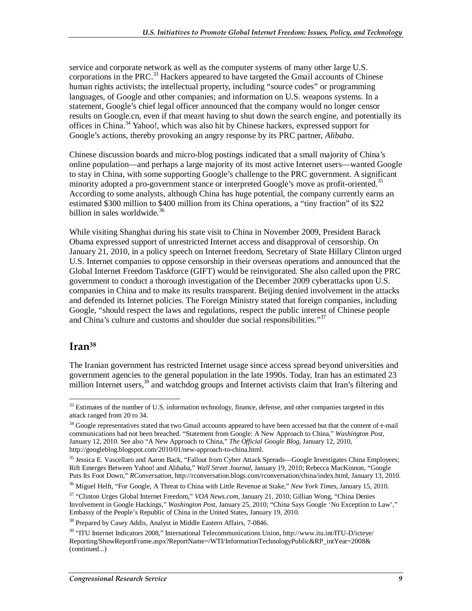service and corporate network as well as the computer systems of many other large U.S. corporations in the PRC.<sup>33</sup> Hackers appeared to have targeted the Gmail accounts of Chinese human rights activists; the intellectual property, including "source codes" or programming languages, of Google and other companies; and information on U.S. weapons systems. In a statement, Google's chief legal officer announced that the company would no longer censor results on Google.cn, even if that meant having to shut down the search engine, and potentially its offices in China.<sup>34</sup> Yahoo!, which was also hit by Chinese hackers, expressed support for Google's actions, thereby provoking an angry response by its PRC partner, *Alibaba*.

Chinese discussion boards and micro-blog postings indicated that a small majority of China's online population—and perhaps a large majority of its most active Internet users—wanted Google to stay in China, with some supporting Google's challenge to the PRC government. A significant minority adopted a pro-government stance or interpreted Google's move as profit-oriented.<sup>35</sup> According to some analysts, although China has huge potential, the company currently earns an estimated \$300 million to \$400 million from its China operations, a "tiny fraction" of its \$22 billion in sales worldwide.<sup>36</sup>

While visiting Shanghai during his state visit to China in November 2009, President Barack Obama expressed support of unrestricted Internet access and disapproval of censorship. On January 21, 2010, in a policy speech on Internet freedom, Secretary of State Hillary Clinton urged U.S. Internet companies to oppose censorship in their overseas operations and announced that the Global Internet Freedom Taskforce (GIFT) would be reinvigorated. She also called upon the PRC government to conduct a thorough investigation of the December 2009 cyberattacks upon U.S. companies in China and to make its results transparent. Beijing denied involvement in the attacks and defended its Internet policies. The Foreign Ministry stated that foreign companies, including Google, "should respect the laws and regulations, respect the public interest of Chinese people and China's culture and customs and shoulder due social responsibilities."<sup>37</sup>

### **Iran38**

The Iranian government has restricted Internet usage since access spread beyond universities and government agencies to the general population in the late 1990s. Today, Iran has an estimated 23 million Internet users,<sup>39</sup> and watchdog groups and Internet activists claim that Iran's filtering and

<sup>-</sup><sup>33</sup> Estimates of the number of U.S. information technology, finance, defense, and other companies targeted in this attack ranged from 20 to 34.

<sup>&</sup>lt;sup>34</sup> Google representatives stated that two Gmail accounts appeared to have been accessed but that the content of e-mail communications had not been breached. "Statement from Google: A New Approach to China," *Washington Post*, January 12, 2010. See also "A New Approach to China," *The Official Google Blog*, January 12, 2010, http://googleblog.blogspot.com/2010/01/new-approach-to-china.html.

<sup>&</sup>lt;sup>35</sup> Jessica E. Vascellaro and Aaron Back, "Fallout from Cyber Attack Spreads—Google Investigates China Employees; Rift Emerges Between Yahoo! and Alibaba," *Wall Street Journal*, January 19, 2010; Rebecca MacKinnon, "Google Puts Its Foot Down," *RConversation,* http://rconversation.blogs.com/rconversation/china/index.html, January 13, 2010.

<sup>36</sup> Miguel Helft, "For Google, A Threat to China with Little Revenue at Stake," *New York Times*, January 15, 2010.

<sup>37 &</sup>quot;Clinton Urges Global Internet Freedom," *VOA News.com*, January 21, 2010; Gillian Wong, "China Denies Involvement in Google Hackings," *Washington Post*, January 25, 2010; "China Says Google 'No Exception to Law'," Embassy of the People's Republic of China in the United States, January 19, 2010.

<sup>&</sup>lt;sup>38</sup> Prepared by Casey Addis, Analyst in Middle Eastern Affairs, 7-0846.

<sup>39 &</sup>quot;ITU Internet Indicators 2008," International Telecommunications Union, http://www.itu.int/ITU-D/icteye/ Reporting/ShowReportFrame.aspx?ReportName=/WTI/InformationTechnologyPublic&RP\_intYear=2008& (continued...)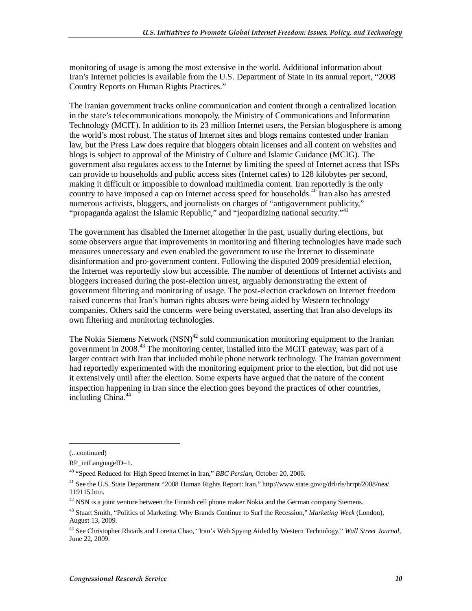monitoring of usage is among the most extensive in the world. Additional information about Iran's Internet policies is available from the U.S. Department of State in its annual report, "2008 Country Reports on Human Rights Practices."

The Iranian government tracks online communication and content through a centralized location in the state's telecommunications monopoly, the Ministry of Communications and Information Technology (MCIT). In addition to its 23 million Internet users, the Persian blogosphere is among the world's most robust. The status of Internet sites and blogs remains contested under Iranian law, but the Press Law does require that bloggers obtain licenses and all content on websites and blogs is subject to approval of the Ministry of Culture and Islamic Guidance (MCIG). The government also regulates access to the Internet by limiting the speed of Internet access that ISPs can provide to households and public access sites (Internet cafes) to 128 kilobytes per second, making it difficult or impossible to download multimedia content. Iran reportedly is the only country to have imposed a cap on Internet access speed for households.<sup>40</sup> Iran also has arrested numerous activists, bloggers, and journalists on charges of "antigovernment publicity," "propaganda against the Islamic Republic," and "jeopardizing national security."<sup>41</sup>

The government has disabled the Internet altogether in the past, usually during elections, but some observers argue that improvements in monitoring and filtering technologies have made such measures unnecessary and even enabled the government to use the Internet to disseminate disinformation and pro-government content. Following the disputed 2009 presidential election, the Internet was reportedly slow but accessible. The number of detentions of Internet activists and bloggers increased during the post-election unrest, arguably demonstrating the extent of government filtering and monitoring of usage. The post-election crackdown on Internet freedom raised concerns that Iran's human rights abuses were being aided by Western technology companies. Others said the concerns were being overstated, asserting that Iran also develops its own filtering and monitoring technologies.

The Nokia Siemens Network  $(NSN)^{42}$  sold communication monitoring equipment to the Iranian government in 2008.43 The monitoring center, installed into the MCIT gateway, was part of a larger contract with Iran that included mobile phone network technology. The Iranian government had reportedly experimented with the monitoring equipment prior to the election, but did not use it extensively until after the election. Some experts have argued that the nature of the content inspection happening in Iran since the election goes beyond the practices of other countries, including China.<sup>44</sup>

1

<sup>(...</sup>continued)

RP\_intLanguageID=1.

<sup>40 &</sup>quot;Speed Reduced for High Speed Internet in Iran," *BBC Persian*, October 20, 2006.

<sup>41</sup> See the U.S. State Department "2008 Human Rights Report: Iran," http://www.state.gov/g/drl/rls/hrrpt/2008/nea/ 119115.htm.

 $42$  NSN is a joint venture between the Finnish cell phone maker Nokia and the German company Siemens.

<sup>43</sup> Stuart Smith, "Politics of Marketing: Why Brands Continue to Surf the Recession," *Marketing Week* (London), August 13, 2009.

<sup>44</sup> See Christopher Rhoads and Loretta Chao, "Iran's Web Spying Aided by Western Technology," *Wall Street Journal*, June 22, 2009.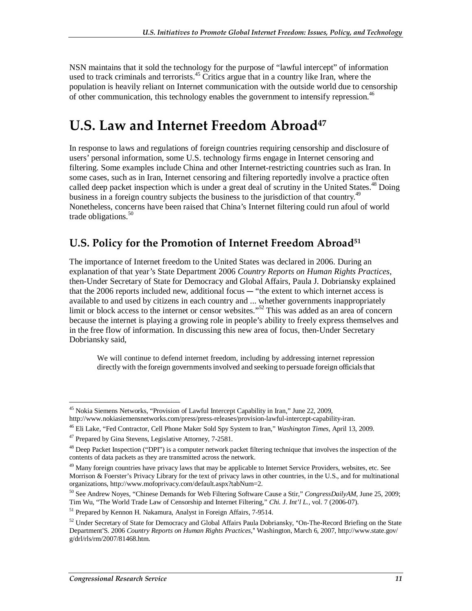NSN maintains that it sold the technology for the purpose of "lawful intercept" of information used to track criminals and terrorists.<sup>45</sup> Critics argue that in a country like Iran, where the population is heavily reliant on Internet communication with the outside world due to censorship of other communication, this technology enables the government to intensify repression.<sup>46</sup>

## **U.S. Law and Internet Freedom Abroad47**

In response to laws and regulations of foreign countries requiring censorship and disclosure of users' personal information, some U.S. technology firms engage in Internet censoring and filtering. Some examples include China and other Internet-restricting countries such as Iran. In some cases, such as in Iran, Internet censoring and filtering reportedly involve a practice often called deep packet inspection which is under a great deal of scrutiny in the United States.<sup>48</sup> Doing business in a foreign country subjects the business to the jurisdiction of that country.<sup>49</sup> Nonetheless, concerns have been raised that China's Internet filtering could run afoul of world trade obligations.<sup>50</sup>

### **U.S. Policy for the Promotion of Internet Freedom Abroad51**

The importance of Internet freedom to the United States was declared in 2006. During an explanation of that year's State Department 2006 *Country Reports on Human Rights Practices*, then-Under Secretary of State for Democracy and Global Affairs, Paula J. Dobriansky explained that the 2006 reports included new, additional focus  $-$  "the extent to which internet access is available to and used by citizens in each country and ... whether governments inappropriately limit or block access to the internet or censor websites."<sup>52</sup> This was added as an area of concern because the internet is playing a growing role in people's ability to freely express themselves and in the free flow of information. In discussing this new area of focus, then-Under Secretary Dobriansky said,

We will continue to defend internet freedom, including by addressing internet repression directly with the foreign governments involved and seeking to persuade foreign officials that

<sup>-</sup><sup>45</sup> Nokia Siemens Networks, "Provision of Lawful Intercept Capability in Iran," June 22, 2009, http://www.nokiasiemensnetworks.com/press/press-releases/provision-lawful-intercept-capability-iran.

<sup>46</sup> Eli Lake, "Fed Contractor, Cell Phone Maker Sold Spy System to Iran," *Washington Times*, April 13, 2009.

<sup>&</sup>lt;sup>47</sup> Prepared by Gina Stevens, Legislative Attorney, 7-2581.

<sup>&</sup>lt;sup>48</sup> Deep Packet Inspection ("DPI") is a computer network packet filtering technique that involves the inspection of the contents of data packets as they are transmitted across the network.

<sup>&</sup>lt;sup>49</sup> Many foreign countries have privacy laws that may be applicable to Internet Service Providers, websites, etc. See Morrison & Foerster's Privacy Library for the text of privacy laws in other countries, in the U.S., and for multinational organizations, http://www.mofoprivacy.com/default.aspx?tabNum=2.

<sup>50</sup> See Andrew Noyes, "Chinese Demands for Web Filtering Software Cause a Stir," *CongressDailyAM*, June 25, 2009; Tim Wu, "The World Trade Law of Censorship and Internet Filtering," *Chi. J. Int'l L.*, vol. 7 (2006-07).<sup>51</sup> Prepared by Kennon H. Nakamura, Analyst in Foreign Affairs, 7-9514.

 $52$  Under Secretary of State for Democracy and Global Affairs Paula Dobriansky, "On-The-Record Briefing on the State Department'S. 2006 *Country Reports on Human Rights Practices*," Washington, March 6, 2007, http://www.state.gov/ g/drl/rls/rm/2007/81468.htm.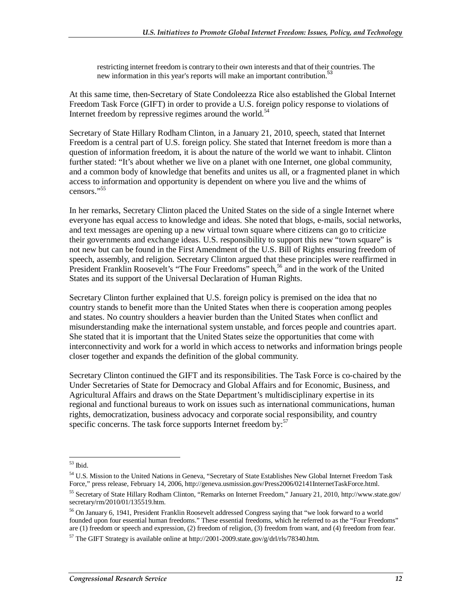restricting internet freedom is contrary to their own interests and that of their countries. The new information in this year's reports will make an important contribution.<sup>53</sup>

At this same time, then-Secretary of State Condoleezza Rice also established the Global Internet Freedom Task Force (GIFT) in order to provide a U.S. foreign policy response to violations of Internet freedom by repressive regimes around the world. $54$ 

Secretary of State Hillary Rodham Clinton, in a January 21, 2010, speech, stated that Internet Freedom is a central part of U.S. foreign policy. She stated that Internet freedom is more than a question of information freedom, it is about the nature of the world we want to inhabit. Clinton further stated: "It's about whether we live on a planet with one Internet, one global community, and a common body of knowledge that benefits and unites us all, or a fragmented planet in which access to information and opportunity is dependent on where you live and the whims of censors."55

In her remarks, Secretary Clinton placed the United States on the side of a single Internet where everyone has equal access to knowledge and ideas. She noted that blogs, e-mails, social networks, and text messages are opening up a new virtual town square where citizens can go to criticize their governments and exchange ideas. U.S. responsibility to support this new "town square" is not new but can be found in the First Amendment of the U.S. Bill of Rights ensuring freedom of speech, assembly, and religion. Secretary Clinton argued that these principles were reaffirmed in President Franklin Roosevelt's "The Four Freedoms" speech,<sup>56</sup> and in the work of the United States and its support of the Universal Declaration of Human Rights.

Secretary Clinton further explained that U.S. foreign policy is premised on the idea that no country stands to benefit more than the United States when there is cooperation among peoples and states. No country shoulders a heavier burden than the United States when conflict and misunderstanding make the international system unstable, and forces people and countries apart. She stated that it is important that the United States seize the opportunities that come with interconnectivity and work for a world in which access to networks and information brings people closer together and expands the definition of the global community.

Secretary Clinton continued the GIFT and its responsibilities. The Task Force is co-chaired by the Under Secretaries of State for Democracy and Global Affairs and for Economic, Business, and Agricultural Affairs and draws on the State Department's multidisciplinary expertise in its regional and functional bureaus to work on issues such as international communications, human rights, democratization, business advocacy and corporate social responsibility, and country specific concerns. The task force supports Internet freedom by:<sup>57</sup>

<sup>-</sup>53 Ibid.

<sup>&</sup>lt;sup>54</sup> U.S. Mission to the United Nations in Geneva, "Secretary of State Establishes New Global Internet Freedom Task Force," press release, February 14, 2006, http://geneva.usmission.gov/Press2006/02141InternetTaskForce.html.

<sup>55</sup> Secretary of State Hillary Rodham Clinton, "Remarks on Internet Freedom," January 21, 2010, http://www.state.gov/ secretary/rm/2010/01/135519.htm.

<sup>56</sup> On January 6, 1941, President Franklin Roosevelt addressed Congress saying that "we look forward to a world founded upon four essential human freedoms." These essential freedoms, which he referred to as the "Four Freedoms" are (1) freedom or speech and expression, (2) freedom of religion, (3) freedom from want, and (4) freedom from fear.

 $^{57}$  The GIFT Strategy is available online at http://2001-2009.state.gov/g/drl/rls/78340.htm.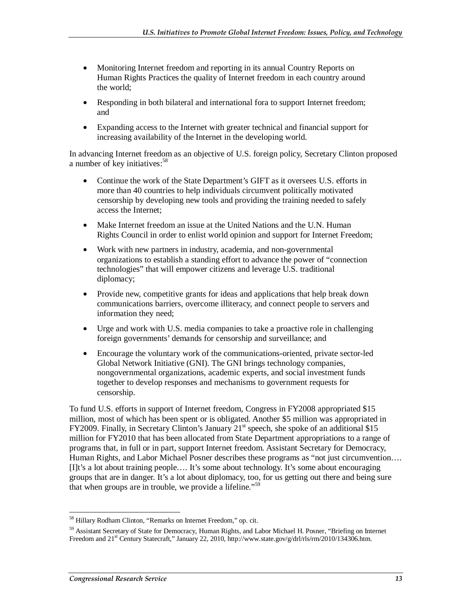- Monitoring Internet freedom and reporting in its annual Country Reports on Human Rights Practices the quality of Internet freedom in each country around the world;
- Responding in both bilateral and international fora to support Internet freedom; and
- Expanding access to the Internet with greater technical and financial support for increasing availability of the Internet in the developing world.

In advancing Internet freedom as an objective of U.S. foreign policy, Secretary Clinton proposed a number of key initiatives:  $58$ 

- Continue the work of the State Department's GIFT as it oversees U.S. efforts in more than 40 countries to help individuals circumvent politically motivated censorship by developing new tools and providing the training needed to safely access the Internet;
- Make Internet freedom an issue at the United Nations and the U.N. Human Rights Council in order to enlist world opinion and support for Internet Freedom;
- Work with new partners in industry, academia, and non-governmental organizations to establish a standing effort to advance the power of "connection technologies" that will empower citizens and leverage U.S. traditional diplomacy;
- Provide new, competitive grants for ideas and applications that help break down communications barriers, overcome illiteracy, and connect people to servers and information they need;
- Urge and work with U.S. media companies to take a proactive role in challenging foreign governments' demands for censorship and surveillance; and
- Encourage the voluntary work of the communications-oriented, private sector-led Global Network Initiative (GNI). The GNI brings technology companies, nongovernmental organizations, academic experts, and social investment funds together to develop responses and mechanisms to government requests for censorship.

To fund U.S. efforts in support of Internet freedom, Congress in FY2008 appropriated \$15 million, most of which has been spent or is obligated. Another \$5 million was appropriated in FY2009. Finally, in Secretary Clinton's January  $21<sup>st</sup>$  speech, she spoke of an additional \$15 million for FY2010 that has been allocated from State Department appropriations to a range of programs that, in full or in part, support Internet freedom. Assistant Secretary for Democracy, Human Rights, and Labor Michael Posner describes these programs as "not just circumvention…. [I]t's a lot about training people…. It's some about technology. It's some about encouraging groups that are in danger. It's a lot about diplomacy, too, for us getting out there and being sure that when groups are in trouble, we provide a lifeline."<sup>59</sup>

<sup>-</sup><sup>58</sup> Hillary Rodham Clinton, "Remarks on Internet Freedom," op. cit.

<sup>59</sup> Assistant Secretary of State for Democracy, Human Rights, and Labor Michael H. Posner, "Briefing on Internet Freedom and 21<sup>st</sup> Century Statecraft," January 22, 2010, http://www.state.gov/g/drl/rls/rm/2010/134306.htm.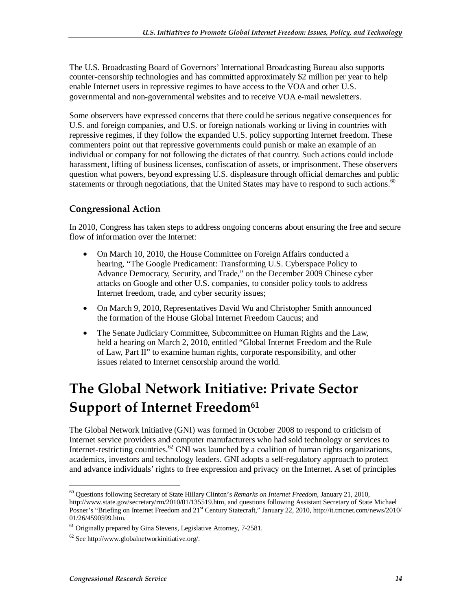The U.S. Broadcasting Board of Governors' International Broadcasting Bureau also supports counter-censorship technologies and has committed approximately \$2 million per year to help enable Internet users in repressive regimes to have access to the VOA and other U.S. governmental and non-governmental websites and to receive VOA e-mail newsletters.

Some observers have expressed concerns that there could be serious negative consequences for U.S. and foreign companies, and U.S. or foreign nationals working or living in countries with repressive regimes, if they follow the expanded U.S. policy supporting Internet freedom. These commenters point out that repressive governments could punish or make an example of an individual or company for not following the dictates of that country. Such actions could include harassment, lifting of business licenses, confiscation of assets, or imprisonment. These observers question what powers, beyond expressing U.S. displeasure through official demarches and public statements or through negotiations, that the United States may have to respond to such actions.<sup>60</sup>

### **Congressional Action**

In 2010, Congress has taken steps to address ongoing concerns about ensuring the free and secure flow of information over the Internet:

- On March 10, 2010, the House Committee on Foreign Affairs conducted a hearing, "The Google Predicament: Transforming U.S. Cyberspace Policy to Advance Democracy, Security, and Trade," on the December 2009 Chinese cyber attacks on Google and other U.S. companies, to consider policy tools to address Internet freedom, trade, and cyber security issues;
- On March 9, 2010, Representatives David Wu and Christopher Smith announced the formation of the House Global Internet Freedom Caucus; and
- The Senate Judiciary Committee, Subcommittee on Human Rights and the Law, held a hearing on March 2, 2010, entitled "Global Internet Freedom and the Rule of Law, Part II" to examine human rights, corporate responsibility, and other issues related to Internet censorship around the world.

## **The Global Network Initiative: Private Sector Support of Internet Freedom<sup>61</sup>**

The Global Network Initiative (GNI) was formed in October 2008 to respond to criticism of Internet service providers and computer manufacturers who had sold technology or services to Internet-restricting countries.<sup>62</sup> GNI was launched by a coalition of human rights organizations, academics, investors and technology leaders. GNI adopts a self-regulatory approach to protect and advance individuals' rights to free expression and privacy on the Internet. A set of principles

<sup>-</sup>60 Questions following Secretary of State Hillary Clinton's *Remarks on Internet Freedom*, January 21, 2010, http://www.state.gov/secretary/rm/2010/01/135519.htm, and questions following Assistant Secretary of State Michael Posner's "Briefing on Internet Freedom and 21<sup>st</sup> Century Statecraft," January 22, 2010, http://it.tmcnet.com/news/2010/ 01/26/4590599.htm.

 $61$  Originally prepared by Gina Stevens, Legislative Attorney, 7-2581.

 $62$  See http://www.globalnetworkinitiative.org/.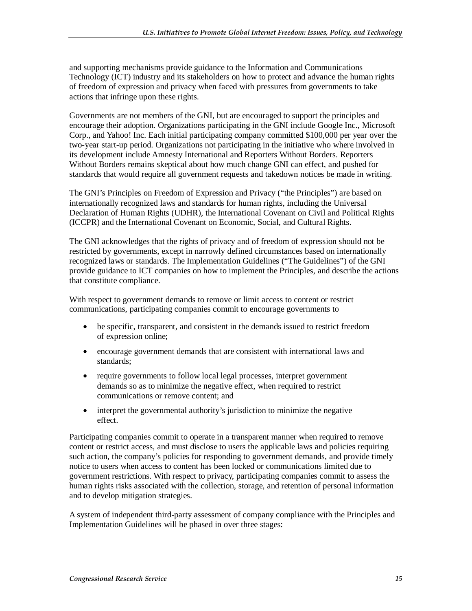and supporting mechanisms provide guidance to the Information and Communications Technology (ICT) industry and its stakeholders on how to protect and advance the human rights of freedom of expression and privacy when faced with pressures from governments to take actions that infringe upon these rights.

Governments are not members of the GNI, but are encouraged to support the principles and encourage their adoption. Organizations participating in the GNI include Google Inc., Microsoft Corp., and Yahoo! Inc. Each initial participating company committed \$100,000 per year over the two-year start-up period. Organizations not participating in the initiative who where involved in its development include Amnesty International and Reporters Without Borders. Reporters Without Borders remains skeptical about how much change GNI can effect, and pushed for standards that would require all government requests and takedown notices be made in writing.

The GNI's Principles on Freedom of Expression and Privacy ("the Principles") are based on internationally recognized laws and standards for human rights, including the Universal Declaration of Human Rights (UDHR), the International Covenant on Civil and Political Rights (ICCPR) and the International Covenant on Economic, Social, and Cultural Rights.

The GNI acknowledges that the rights of privacy and of freedom of expression should not be restricted by governments, except in narrowly defined circumstances based on internationally recognized laws or standards. The Implementation Guidelines ("The Guidelines") of the GNI provide guidance to ICT companies on how to implement the Principles, and describe the actions that constitute compliance.

With respect to government demands to remove or limit access to content or restrict communications, participating companies commit to encourage governments to

- be specific, transparent, and consistent in the demands issued to restrict freedom of expression online;
- encourage government demands that are consistent with international laws and standards;
- require governments to follow local legal processes, interpret government demands so as to minimize the negative effect, when required to restrict communications or remove content; and
- interpret the governmental authority's jurisdiction to minimize the negative effect.

Participating companies commit to operate in a transparent manner when required to remove content or restrict access, and must disclose to users the applicable laws and policies requiring such action, the company's policies for responding to government demands, and provide timely notice to users when access to content has been locked or communications limited due to government restrictions. With respect to privacy, participating companies commit to assess the human rights risks associated with the collection, storage, and retention of personal information and to develop mitigation strategies.

A system of independent third-party assessment of company compliance with the Principles and Implementation Guidelines will be phased in over three stages: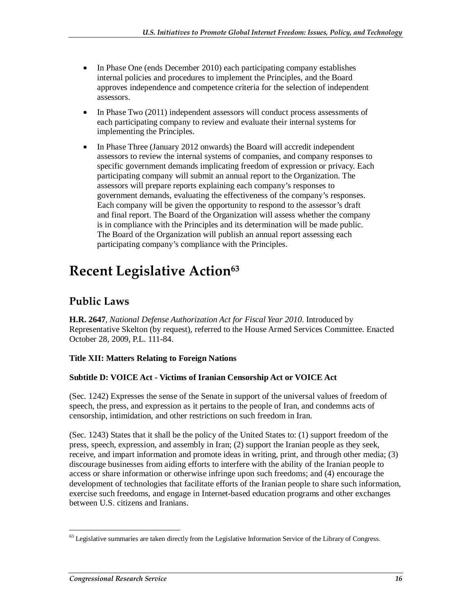- In Phase One (ends December 2010) each participating company establishes internal policies and procedures to implement the Principles, and the Board approves independence and competence criteria for the selection of independent assessors.
- In Phase Two (2011) independent assessors will conduct process assessments of each participating company to review and evaluate their internal systems for implementing the Principles.
- In Phase Three (January 2012 onwards) the Board will accredit independent assessors to review the internal systems of companies, and company responses to specific government demands implicating freedom of expression or privacy. Each participating company will submit an annual report to the Organization. The assessors will prepare reports explaining each company's responses to government demands, evaluating the effectiveness of the company's responses. Each company will be given the opportunity to respond to the assessor's draft and final report. The Board of the Organization will assess whether the company is in compliance with the Principles and its determination will be made public. The Board of the Organization will publish an annual report assessing each participating company's compliance with the Principles.

## **Recent Legislative Action**63

### **Public Laws**

**H.R. 2647**, *National Defense Authorization Act for Fiscal Year 2010*. Introduced by Representative Skelton (by request), referred to the House Armed Services Committee. Enacted October 28, 2009, P.L. 111-84.

#### **Title XII: Matters Relating to Foreign Nations**

#### **Subtitle D: VOICE Act - Victims of Iranian Censorship Act or VOICE Act**

(Sec. 1242) Expresses the sense of the Senate in support of the universal values of freedom of speech, the press, and expression as it pertains to the people of Iran, and condemns acts of censorship, intimidation, and other restrictions on such freedom in Iran.

(Sec. 1243) States that it shall be the policy of the United States to: (1) support freedom of the press, speech, expression, and assembly in Iran; (2) support the Iranian people as they seek, receive, and impart information and promote ideas in writing, print, and through other media; (3) discourage businesses from aiding efforts to interfere with the ability of the Iranian people to access or share information or otherwise infringe upon such freedoms; and (4) encourage the development of technologies that facilitate efforts of the Iranian people to share such information, exercise such freedoms, and engage in Internet-based education programs and other exchanges between U.S. citizens and Iranians.

<sup>-</sup> $63$  Legislative summaries are taken directly from the Legislative Information Service of the Library of Congress.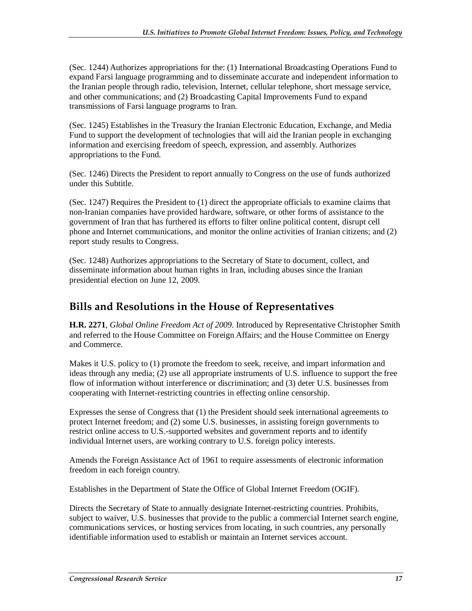(Sec. 1244) Authorizes appropriations for the: (1) International Broadcasting Operations Fund to expand Farsi language programming and to disseminate accurate and independent information to the Iranian people through radio, television, Internet, cellular telephone, short message service, and other communications; and (2) Broadcasting Capital Improvements Fund to expand transmissions of Farsi language programs to Iran.

(Sec. 1245) Establishes in the Treasury the Iranian Electronic Education, Exchange, and Media Fund to support the development of technologies that will aid the Iranian people in exchanging information and exercising freedom of speech, expression, and assembly. Authorizes appropriations to the Fund.

(Sec. 1246) Directs the President to report annually to Congress on the use of funds authorized under this Subtitle.

(Sec. 1247) Requires the President to (1) direct the appropriate officials to examine claims that non-Iranian companies have provided hardware, software, or other forms of assistance to the government of Iran that has furthered its efforts to filter online political content, disrupt cell phone and Internet communications, and monitor the online activities of Iranian citizens; and (2) report study results to Congress.

(Sec. 1248) Authorizes appropriations to the Secretary of State to document, collect, and disseminate information about human rights in Iran, including abuses since the Iranian presidential election on June 12, 2009.

### **Bills and Resolutions in the House of Representatives**

**H.R. 2271**, *Global Online Freedom Act of 2009*. Introduced by Representative Christopher Smith and referred to the House Committee on Foreign Affairs; and the House Committee on Energy and Commerce.

Makes it U.S. policy to (1) promote the freedom to seek, receive, and impart information and ideas through any media; (2) use all appropriate instruments of U.S. influence to support the free flow of information without interference or discrimination; and (3) deter U.S. businesses from cooperating with Internet-restricting countries in effecting online censorship.

Expresses the sense of Congress that (1) the President should seek international agreements to protect Internet freedom; and (2) some U.S. businesses, in assisting foreign governments to restrict online access to U.S.-supported websites and government reports and to identify individual Internet users, are working contrary to U.S. foreign policy interests.

Amends the Foreign Assistance Act of 1961 to require assessments of electronic information freedom in each foreign country.

Establishes in the Department of State the Office of Global Internet Freedom (OGIF).

Directs the Secretary of State to annually designate Internet-restricting countries. Prohibits, subject to waiver, U.S. businesses that provide to the public a commercial Internet search engine, communications services, or hosting services from locating, in such countries, any personally identifiable information used to establish or maintain an Internet services account.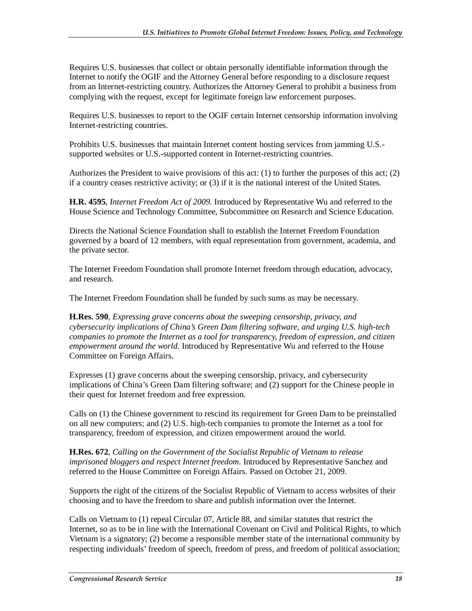Requires U.S. businesses that collect or obtain personally identifiable information through the Internet to notify the OGIF and the Attorney General before responding to a disclosure request from an Internet-restricting country. Authorizes the Attorney General to prohibit a business from complying with the request, except for legitimate foreign law enforcement purposes.

Requires U.S. businesses to report to the OGIF certain Internet censorship information involving Internet-restricting countries.

Prohibits U.S. businesses that maintain Internet content hosting services from jamming U.S. supported websites or U.S.-supported content in Internet-restricting countries.

Authorizes the President to waive provisions of this act: (1) to further the purposes of this act; (2) if a country ceases restrictive activity; or (3) if it is the national interest of the United States.

**H.R. 4595**, *Internet Freedom Act of 2009*. Introduced by Representative Wu and referred to the House Science and Technology Committee, Subcommittee on Research and Science Education.

Directs the National Science Foundation shall to establish the Internet Freedom Foundation governed by a board of 12 members, with equal representation from government, academia, and the private sector.

The Internet Freedom Foundation shall promote Internet freedom through education, advocacy, and research.

The Internet Freedom Foundation shall be funded by such sums as may be necessary.

**H.Res. 590**, *Expressing grave concerns about the sweeping censorship, privacy, and cybersecurity implications of China's Green Dam filtering software, and urging U.S. high-tech companies to promote the Internet as a tool for transparency, freedom of expression, and citizen empowerment around the world.* Introduced by Representative Wu and referred to the House Committee on Foreign Affairs.

Expresses (1) grave concerns about the sweeping censorship, privacy, and cybersecurity implications of China's Green Dam filtering software; and (2) support for the Chinese people in their quest for Internet freedom and free expression.

Calls on (1) the Chinese government to rescind its requirement for Green Dam to be preinstalled on all new computers; and (2) U.S. high-tech companies to promote the Internet as a tool for transparency, freedom of expression, and citizen empowerment around the world.

**H.Res. 672**, *Calling on the Government of the Socialist Republic of Vietnam to release imprisoned bloggers and respect Internet freedom*. Introduced by Representative Sanchez and referred to the House Committee on Foreign Affairs. Passed on October 21, 2009.

Supports the right of the citizens of the Socialist Republic of Vietnam to access websites of their choosing and to have the freedom to share and publish information over the Internet.

Calls on Vietnam to (1) repeal Circular 07, Article 88, and similar statutes that restrict the Internet, so as to be in line with the International Covenant on Civil and Political Rights, to which Vietnam is a signatory; (2) become a responsible member state of the international community by respecting individuals' freedom of speech, freedom of press, and freedom of political association;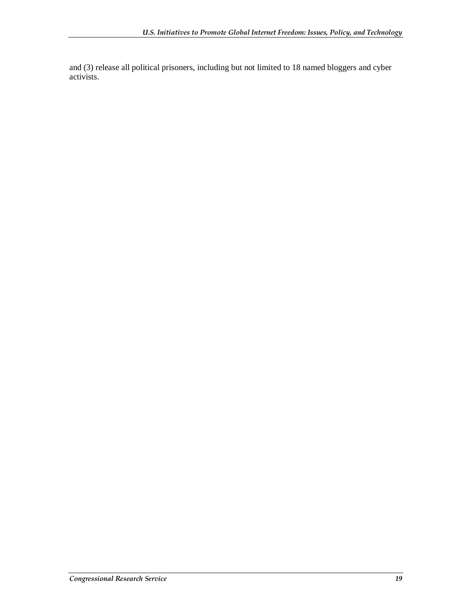and (3) release all political prisoners, including but not limited to 18 named bloggers and cyber activists.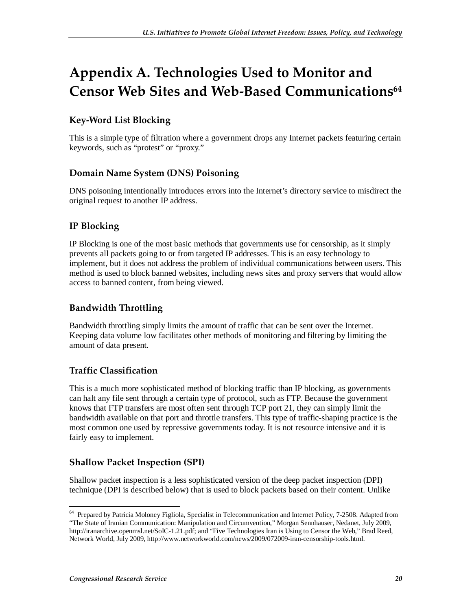## **Appendix A. Technologies Used to Monitor and Censor Web Sites and Web-Based Communications64**

### **Key-Word List Blocking**

This is a simple type of filtration where a government drops any Internet packets featuring certain keywords, such as "protest" or "proxy."

### **Domain Name System (DNS) Poisoning**

DNS poisoning intentionally introduces errors into the Internet's directory service to misdirect the original request to another IP address.

### **IP Blocking**

IP Blocking is one of the most basic methods that governments use for censorship, as it simply prevents all packets going to or from targeted IP addresses. This is an easy technology to implement, but it does not address the problem of individual communications between users. This method is used to block banned websites, including news sites and proxy servers that would allow access to banned content, from being viewed.

### **Bandwidth Throttling**

Bandwidth throttling simply limits the amount of traffic that can be sent over the Internet. Keeping data volume low facilitates other methods of monitoring and filtering by limiting the amount of data present.

### **Traffic Classification**

This is a much more sophisticated method of blocking traffic than IP blocking, as governments can halt any file sent through a certain type of protocol, such as FTP. Because the government knows that FTP transfers are most often sent through TCP port 21, they can simply limit the bandwidth available on that port and throttle transfers. This type of traffic-shaping practice is the most common one used by repressive governments today. It is not resource intensive and it is fairly easy to implement.

### **Shallow Packet Inspection (SPI)**

Shallow packet inspection is a less sophisticated version of the deep packet inspection (DPI) technique (DPI is described below) that is used to block packets based on their content. Unlike

<sup>-</sup><sup>64</sup> Prepared by Patricia Moloney Figliola, Specialist in Telecommunication and Internet Policy, 7-2508. Adapted from "The State of Iranian Communication: Manipulation and Circumvention," Morgan Sennhauser, Nedanet, July 2009, http://iranarchive.openmsl.net/SoIC-1.21.pdf; and "Five Technologies Iran is Using to Censor the Web," Brad Reed, Network World, July 2009, http://www.networkworld.com/news/2009/072009-iran-censorship-tools.html.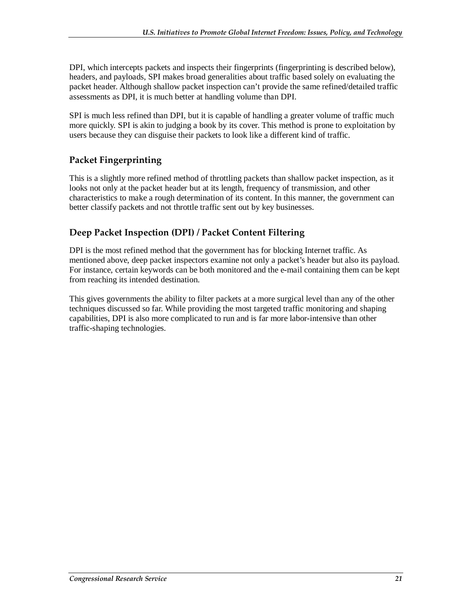DPI, which intercepts packets and inspects their fingerprints (fingerprinting is described below), headers, and payloads, SPI makes broad generalities about traffic based solely on evaluating the packet header. Although shallow packet inspection can't provide the same refined/detailed traffic assessments as DPI, it is much better at handling volume than DPI.

SPI is much less refined than DPI, but it is capable of handling a greater volume of traffic much more quickly. SPI is akin to judging a book by its cover. This method is prone to exploitation by users because they can disguise their packets to look like a different kind of traffic.

### **Packet Fingerprinting**

This is a slightly more refined method of throttling packets than shallow packet inspection, as it looks not only at the packet header but at its length, frequency of transmission, and other characteristics to make a rough determination of its content. In this manner, the government can better classify packets and not throttle traffic sent out by key businesses.

### **Deep Packet Inspection (DPI) / Packet Content Filtering**

DPI is the most refined method that the government has for blocking Internet traffic. As mentioned above, deep packet inspectors examine not only a packet's header but also its payload. For instance, certain keywords can be both monitored and the e-mail containing them can be kept from reaching its intended destination.

This gives governments the ability to filter packets at a more surgical level than any of the other techniques discussed so far. While providing the most targeted traffic monitoring and shaping capabilities, DPI is also more complicated to run and is far more labor-intensive than other traffic-shaping technologies.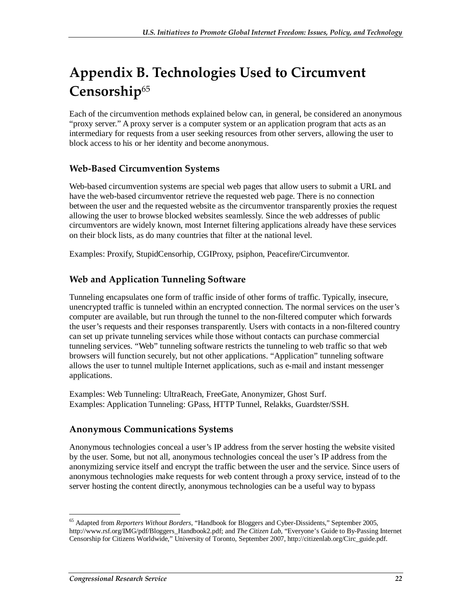## **Appendix B. Technologies Used to Circumvent Censorship**<sup>65</sup>

Each of the circumvention methods explained below can, in general, be considered an anonymous "proxy server." A proxy server is a computer system or an application program that acts as an intermediary for requests from a user seeking resources from other servers, allowing the user to block access to his or her identity and become anonymous.

### **Web-Based Circumvention Systems**

Web-based circumvention systems are special web pages that allow users to submit a URL and have the web-based circumventor retrieve the requested web page. There is no connection between the user and the requested website as the circumventor transparently proxies the request allowing the user to browse blocked websites seamlessly. Since the web addresses of public circumventors are widely known, most Internet filtering applications already have these services on their block lists, as do many countries that filter at the national level.

Examples: Proxify, StupidCensorhip, CGIProxy, psiphon, Peacefire/Circumventor.

### **Web and Application Tunneling Software**

Tunneling encapsulates one form of traffic inside of other forms of traffic. Typically, insecure, unencrypted traffic is tunneled within an encrypted connection. The normal services on the user's computer are available, but run through the tunnel to the non-filtered computer which forwards the user's requests and their responses transparently. Users with contacts in a non-filtered country can set up private tunneling services while those without contacts can purchase commercial tunneling services. "Web" tunneling software restricts the tunneling to web traffic so that web browsers will function securely, but not other applications. "Application" tunneling software allows the user to tunnel multiple Internet applications, such as e-mail and instant messenger applications.

Examples: Web Tunneling: UltraReach, FreeGate, Anonymizer, Ghost Surf. Examples: Application Tunneling: GPass, HTTP Tunnel, Relakks, Guardster/SSH.

### **Anonymous Communications Systems**

Anonymous technologies conceal a user's IP address from the server hosting the website visited by the user. Some, but not all, anonymous technologies conceal the user's IP address from the anonymizing service itself and encrypt the traffic between the user and the service. Since users of anonymous technologies make requests for web content through a proxy service, instead of to the server hosting the content directly, anonymous technologies can be a useful way to bypass

<sup>-</sup>65 Adapted from *Reporters Without Borders*, "Handbook for Bloggers and Cyber-Dissidents," September 2005, http://www.rsf.org/IMG/pdf/Bloggers\_Handbook2.pdf; and *The Citizen Lab*, "Everyone's Guide to By-Passing Internet Censorship for Citizens Worldwide," University of Toronto, September 2007, http://citizenlab.org/Circ\_guide.pdf.